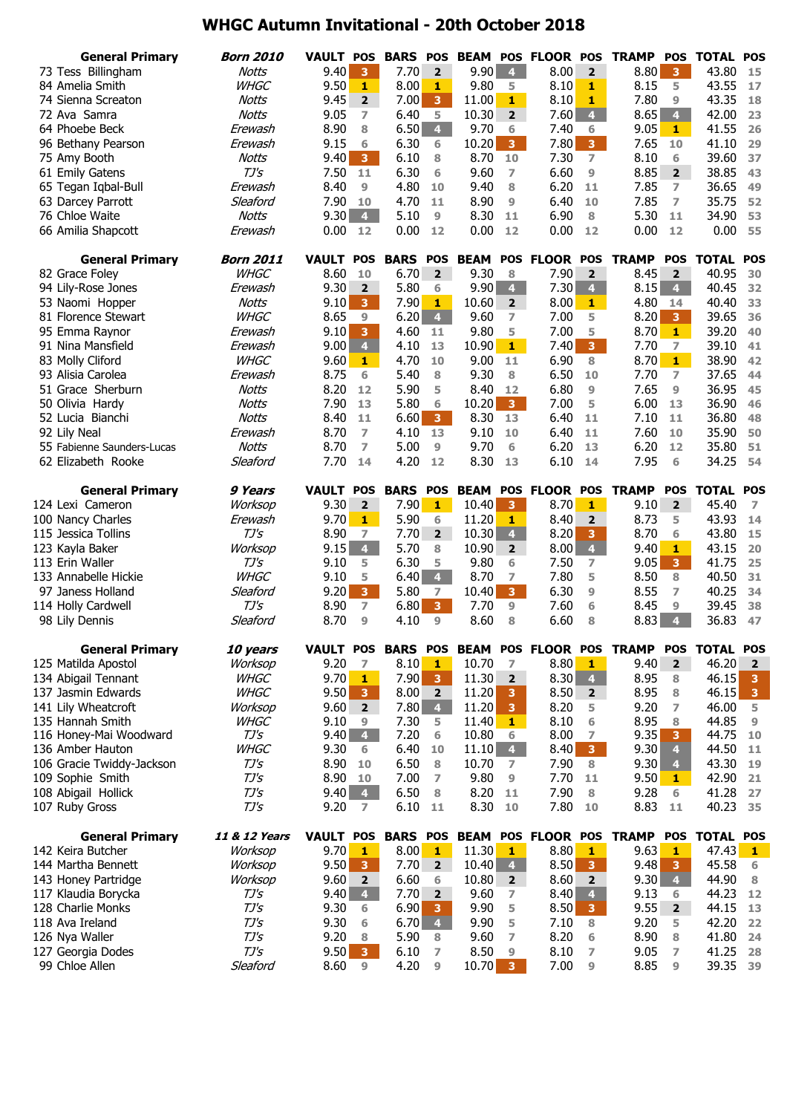## **WHGC Autumn Invitational - 20th October 2018**

| <b>General Primary</b>                | <b>Born 2010</b>             | <b>VAULT</b>       | <b>POS</b>                       | <b>BARS</b>     | <b>POS</b>              |              |                         | <b>BEAM POS FLOOR POS</b> |                         | <b>TRAMP</b> | <b>POS</b>              | <b>TOTAL</b>     | <b>POS</b>              |
|---------------------------------------|------------------------------|--------------------|----------------------------------|-----------------|-------------------------|--------------|-------------------------|---------------------------|-------------------------|--------------|-------------------------|------------------|-------------------------|
| 73 Tess Billingham                    | <b>Notts</b>                 | 9.40               | $\overline{\mathbf{3}}$          | 7.70            | $\overline{2}$          | 9.90         | $\overline{4}$          | 8.00                      | $\overline{2}$          | 8.80         | $\overline{\mathbf{3}}$ | 43.80            | 15                      |
| 84 Amelia Smith                       | <b>WHGC</b>                  | 9.50               | $\mathbf{1}$                     | 8.00            | 1                       | 9.80         | 5                       | 8.10                      | 1                       | 8.15         | 5                       | 43.55            | 17                      |
| 74 Sienna Screaton                    | <b>Notts</b>                 | 9.45               | $\mathbf{2}$                     | 7.00            | 3 <sup>°</sup>          | 11.00        | 1                       | 8.10                      | $\mathbf{1}$            | 7.80         | 9                       | 43.35            | 18                      |
| 72 Ava Samra                          | <b>Notts</b>                 | 9.05               | $\overline{ }$                   | 6.40            | 5                       | 10.30        | $\overline{2}$          | 7.60                      | 4 <sup>1</sup>          | 8.65         | 4 <sup>1</sup>          | 42.00            | 23                      |
| 64 Phoebe Beck                        | Erewash                      | 8.90               | 8                                | 6.50            | 4 <sup>1</sup>          | 9.70         | 6                       | 7.40                      | 6                       | 9.05         | $\mathbf{1}$            | 41.55            | 26                      |
| 96 Bethany Pearson                    | Erewash                      | 9.15               | 6                                | 6.30            | 6                       | 10.20        | 3 <sup>7</sup>          | 7.80                      | 3 <sup>7</sup>          | 7.65         | 10                      | 41.10            | 29                      |
| 75 Amy Booth                          | Notts                        | 9.40               | 3 <sup>7</sup>                   | 6.10            | 8                       | 8.70         | 10                      | 7.30                      | $\overline{ }$          | 8.10         | 6                       | 39.60            | 37                      |
| 61 Emily Gatens                       | $TJ\prime S$                 | 7.50               | 11                               | 6.30            | 6                       | 9.60         | $\overline{ }$          | 6.60                      | 9                       | 8.85         | $\overline{2}$          | 38.85            | 43                      |
| 65 Tegan Iqbal-Bull                   | Erewash                      | 8.40               | $\overline{9}$                   | 4.80            | 10                      | 9.40         | 8                       | 6.20                      | 11                      | 7.85         | $\overline{ }$          | 36.65            | 49                      |
| 63 Darcey Parrott                     | Sleaford                     | 7.90               | 10                               | 4.70            | 11                      | 8.90         | 9                       | 6.40                      | 10                      | 7.85         | $\overline{ }$          | 35.75            | 52                      |
| 76 Chloe Waite                        | Notts                        | 9.30               | 4 <sup>1</sup>                   | 5.10            | $\overline{9}$          | 8.30         | 11                      | 6.90                      | 8                       | 5.30         | 11                      | 34.90            | 53                      |
| 66 Amilia Shapcott                    | Erewash                      | 0.00               | 12                               | 0.00            | 12                      | 0.00         | 12                      | 0.00                      | 12                      | 0.00         | 12                      | 0.00             | 55                      |
| <b>General Primary</b>                | <b>Born 2011</b>             | <b>VAULT</b>       | <b>POS</b>                       | <b>BARS</b>     | <b>POS</b>              | <b>BEAM</b>  | <b>POS</b>              | <b>FLOOR POS</b>          |                         | <b>TRAMP</b> | <b>POS</b>              | <b>TOTAL</b>     | <b>POS</b>              |
| 82 Grace Foley                        | <b>WHGC</b>                  | 8.60               | 10                               | 6.70            | $\overline{2}$          | 9.30         | 8                       | 7.90                      | $\overline{2}$          | 8.45         | $\overline{2}$          | 40.95            | 30                      |
| 94 Lily-Rose Jones                    | Erewash                      | 9.30               | $\overline{2}$                   | 5.80            | 6                       | 9.90         | 4 <sup>1</sup>          | 7.30                      | 4 <sup>1</sup>          | 8.15         | $\overline{4}$          | 40.45            | 32                      |
| 53 Naomi Hopper                       | <b>Notts</b>                 | 9.10               | 3 <sup>7</sup>                   | 7.90            | $\mathbf{1}$            | 10.60        | $\overline{2}$          | 8.00                      | $\mathbf{1}$            | 4.80         | 14                      | 40.40            | 33                      |
| 81 Florence Stewart                   | <b>WHGC</b>                  | 8.65               | 9                                | 6.20            | $\overline{4}$          | 9.60         | 7                       | 7.00                      | 5                       | 8.20         | $\overline{\mathbf{3}}$ | 39.65            | 36                      |
| 95 Emma Raynor                        | Erewash                      | 9.10               | $\overline{3}$                   | 4.60            | 11                      | 9.80         | 5                       | 7.00                      | 5                       | 8.70         | $\mathbf{1}$            | 39.20            | 40                      |
| 91 Nina Mansfield                     | Erewash                      | 9.00               | $\overline{4}$                   | 4.10            | 13                      | 10.90        | $1 -$                   | 7.40                      | 3 <sup>7</sup>          | 7.70         | $\overline{ }$          | 39.10            | 41                      |
| 83 Molly Cliford                      | <b>WHGC</b>                  | 9.60               | $\mathbf{1}$                     | 4.70            | 10                      | 9.00         | 11                      | 6.90                      | 8                       | 8.70         | $1 -$                   | 38.90            | 42                      |
| 93 Alisia Carolea                     | Erewash                      | 8.75               | 6                                | 5.40            | 8                       | 9.30         | 8                       | 6.50                      | 10                      | 7.70         | $\overline{ }$          | 37.65            | 44                      |
| 51 Grace Sherburn                     | <b>Notts</b>                 | 8.20               | 12                               | 5.90            | 5                       | 8.40         | 12                      | 6.80                      | $\overline{9}$          | 7.65         | 9                       | 36.95            | 45                      |
| 50 Olivia Hardy                       | Notts                        | 7.90               | 13                               | 5.80            | 6                       | 10.20        | 3 <sup>1</sup>          | 7.00                      | 5                       | 6.00         | 13                      | 36.90            | 46                      |
| 52 Lucia Bianchi                      | Notts                        | 8.40               | 11                               | 6.60            | 3 <sup>°</sup>          | 8.30         | 13                      | 6.40                      | 11                      | 7.10         | 11                      | 36.80            | 48                      |
| 92 Lily Neal                          | Erewash                      | 8.70               | $\overline{7}$                   | 4.10            | 13                      | 9.10         | 10                      | 6.40                      | 11                      | 7.60         | 10                      | 35.90            | 50                      |
| 55 Fabienne Saunders-Lucas            | <b>Notts</b><br>Sleaford     | 8.70<br>7.70       | $\overline{7}$                   | 5.00<br>4.20    | 9                       | 9.70<br>8.30 | 6                       | 6.20                      | 13                      | 6.20<br>7.95 | 12                      | 35.80<br>34.25   | 51<br>54                |
| 62 Elizabeth Rooke                    |                              |                    | 14                               |                 | 12                      |              | 13                      | 6.10                      | 14                      |              | 6                       |                  |                         |
| <b>General Primary</b>                | 9 Years                      | <b>VAULT</b>       | <b>POS</b>                       | <b>BARS</b>     | <b>POS</b>              | <b>BEAM</b>  |                         | POS FLOOR                 | <b>POS</b>              | <b>TRAMP</b> | <b>POS</b>              | <b>TOTAL</b>     | <b>POS</b>              |
| 124 Lexi Cameron                      | Worksop                      | 9.30               | $\overline{2}$                   | 7.90            | $1 -$                   | 10.40        | $\overline{\mathbf{3}}$ | 8.70                      | $\mathbf{1}$            | 9.10         | $\overline{2}$          | 45.40            | $\overline{7}$          |
| 100 Nancy Charles                     | Erewash                      | 9.70               | $\mathbf{1}$                     | 5.90            | 6                       | 11.20        | 1                       | 8.40                      | $\overline{2}$          | 8.73         | 5                       | 43.93            | 14                      |
| 115 Jessica Tollins                   | $TJ\mathcal{S}$              | 8.90               | 7                                | 7.70            | $\mathbf{2}$            | 10.30        | 4 <sup>1</sup>          | 8.20                      | 3                       | 8.70         | 6                       | 43.80            | 15                      |
| 123 Kayla Baker                       | Worksop                      | 9.15               | 4 <sup>1</sup>                   | 5.70            | 8                       | 10.90        | $\mathbf{2}$            | 8.00                      | $\overline{\mathbf{4}}$ | 9.40         | 1                       | 43.15            | 20                      |
| 113 Erin Waller                       | $TJ\prime S$                 | 9.10               | 5                                | 6.30            | 5                       | 9.80         | 6                       | 7.50                      | 7                       | 9.05         | $\overline{\mathbf{3}}$ | 41.75            | 25                      |
| 133 Annabelle Hickie                  | <b>WHGC</b>                  |                    | 5                                | 6.40            | $\overline{\mathbf{4}}$ | 8.70         | $\overline{ }$          | 7.80                      | 5                       |              |                         | 40.50            | 31                      |
|                                       |                              | 9.10               |                                  |                 |                         |              |                         |                           |                         | 8.50         | 8                       |                  |                         |
| 97 Janess Holland                     | Sleaford                     | 9.20               | 3 <sup>°</sup>                   | 5.80            | $\overline{ }$          | 10.40        | 3 <sup>7</sup>          | 6.30                      | $\overline{9}$          | 8.55         | $\overline{ }$          | 40.25            | 34                      |
| 114 Holly Cardwell                    | $TJ\mathcal{S}$              | 8.90               | $\overline{ }$                   | 6.80            | 3 <sup>7</sup>          | 7.70         | 9                       | 7.60                      | 6                       | 8.45         | 9                       | 39.45            | 38                      |
| 98 Lily Dennis                        | Sleaford                     | 8.70               | $\overline{9}$                   | 4.10            | $\overline{9}$          | 8.60         | 8                       | 6.60                      | 8                       | 8.83         | $\overline{\bf 4}$      | 36.83            | 47                      |
| <b>General Primary</b>                | 10 years                     | VAULT POS BARS POS |                                  |                 |                         |              |                         | <b>BEAM POS FLOOR POS</b> |                         | <b>TRAMP</b> | <b>POS</b>              | <b>TOTAL POS</b> |                         |
| 125 Matilda Apostol                   | Worksop                      | 9.20               | $\overline{z}$                   | 8.10            | $\mathbf{1}$            | 10.70        | $\overline{z}$          | 8.80                      | $\mathbf{1}$            | 9.40         | $\overline{\mathbf{2}}$ | 46.20            | $\overline{\mathbf{2}}$ |
| 134 Abigail Tennant                   | <b>WHGC</b>                  | 9.70               | $\mathbf{1}$                     | 7.90            | 3 <sup>1</sup>          | 11.30        | $\overline{2}$          | 8.30                      | $\overline{4}$          | 8.95         | 8                       | 46.15            | 3                       |
| 137 Jasmin Edwards                    | <b>WHGC</b>                  | 9.50               | 3                                | 8.00            | $\overline{\mathbf{2}}$ | 11.20        | з                       | 8.50                      | $\overline{2}$          | 8.95         | 8                       | 46.15            | 3                       |
| 141 Lily Wheatcroft                   | Worksop                      | 9.60               | $\overline{2}$                   | 7.80            | $\overline{\mathbf{4}}$ | 11.20        | 3                       | 8.20                      | 5                       | 9.20         | 7                       | 46.00            | 5                       |
| 135 Hannah Smith                      | <b>WHGC</b>                  | 9.10               | 9                                | 7.30            | 5                       | 11.40        | 1                       | 8.10                      | 6                       | 8.95         | 8                       | 44.85            | 9                       |
| 116 Honey-Mai Woodward                | TJ's                         | 9.40               | $\overline{4}$                   | 7.20            | 6                       | 10.80        | 6                       | 8.00                      | 7                       | 9.35         | 3                       | 44.75            | 10                      |
| 136 Amber Hauton                      | <b>WHGC</b>                  | 9.30               | 6                                | 6.40            | 10                      | 11.10        | $\overline{4}$          | 8.40                      | 3 <sup>°</sup>          | 9.30         | 4                       | 44.50            | 11                      |
| 106 Gracie Twiddy-Jackson             | TJ's                         | 8.90               | 10                               | 6.50            | 8                       | 10.70        | 7                       | 7.90                      | 8                       | 9.30         | $\overline{4}$          | 43.30            | 19                      |
| 109 Sophie Smith                      | $TJ\prime S$                 | 8.90               | 10                               | 7.00            | 7                       | 9.80         | 9                       | 7.70                      | 11                      | 9.50         | 1                       | 42.90            | 21                      |
| 108 Abigail Hollick<br>107 Ruby Gross | $TJ\prime S$<br>$TJ\prime S$ | 9.40<br>9.20       | $\overline{4}$<br>$\overline{7}$ | 6.50<br>6.10    | 8<br>11                 | 8.20<br>8.30 | 11<br>10                | 7.90<br>7.80              | 8<br>10                 | 9.28<br>8.83 | 6<br>11                 | 41.28<br>40.23   | 27<br>35                |
|                                       |                              |                    |                                  |                 |                         |              |                         |                           |                         |              |                         |                  |                         |
| <b>General Primary</b>                | 11 & 12 Years                | <b>VAULT</b>       | <b>POS</b>                       | <b>BARS POS</b> |                         | <b>BEAM</b>  |                         | POS FLOOR POS             |                         | <b>TRAMP</b> | <b>POS</b>              | <b>TOTAL POS</b> |                         |
| 142 Keira Butcher                     | Worksop                      | 9.70               | 1                                | 8.00            | $\mathbf{1}$            | 11.30        | 1                       | 8.80                      | 1                       | 9.63         | 1                       | 47.43            | 1                       |
| 144 Martha Bennett                    | Worksop                      | 9.50               | $\overline{\mathbf{3}}$          | 7.70            | 2 <sup>1</sup>          | 10.40        | $\overline{4}$          | 8.50                      | $\overline{\mathbf{3}}$ | 9.48         | 3                       | 45.58            | 6                       |
| 143 Honey Partridge                   | Worksop                      | 9.60               | $\overline{2}$                   | 6.60            | 6                       | 10.80        | $\mathbf{2}$            | 8.60                      | 2                       | 9.30         | $\overline{\mathbf{4}}$ | 44.90            | 8                       |
| 117 Klaudia Borycka                   | TJ's                         | 9.40               | $\overline{4}$                   | 7.70            | $\overline{\mathbf{2}}$ | 9.60         | 7                       | 8.40                      | $\overline{4}$          | 9.13         | 6                       | 44.23            | 12                      |
| 128 Charlie Monks                     | $TJ\prime S$                 | 9.30               | 6                                | 6.90            | 3                       | 9.90         | 5                       | 8.50                      | $\mathbf{3}$            | 9.55         | $\overline{2}$          | 44.15            | 13                      |
| 118 Ava Ireland                       | TJ's                         | 9.30               | 6<br>8                           | 6.70            | $\overline{4}$<br>8     | 9.90         | 5<br>7                  | 7.10                      | 8<br>6                  | 9.20         | 5<br>8                  | 42.20            | 22<br>24                |
| 126 Nya Waller<br>127 Georgia Dodes   | $TJ\prime S$<br>$TJ\prime S$ | 9.20<br>9.50       | 3 <sup>7</sup>                   | 5.90            | 7                       | 9.60<br>8.50 | 9                       | 8.20<br>8.10              | 7                       | 8.90<br>9.05 | 7                       | 41.80            | 28                      |
| 99 Chloe Allen                        | Sleaford                     | 8.60               | 9                                | 6.10<br>4.20    | 9                       | $10.70$ 3    |                         | 7.00                      | $\overline{9}$          | 8.85         | 9                       | 41.25<br>39.35   | 39                      |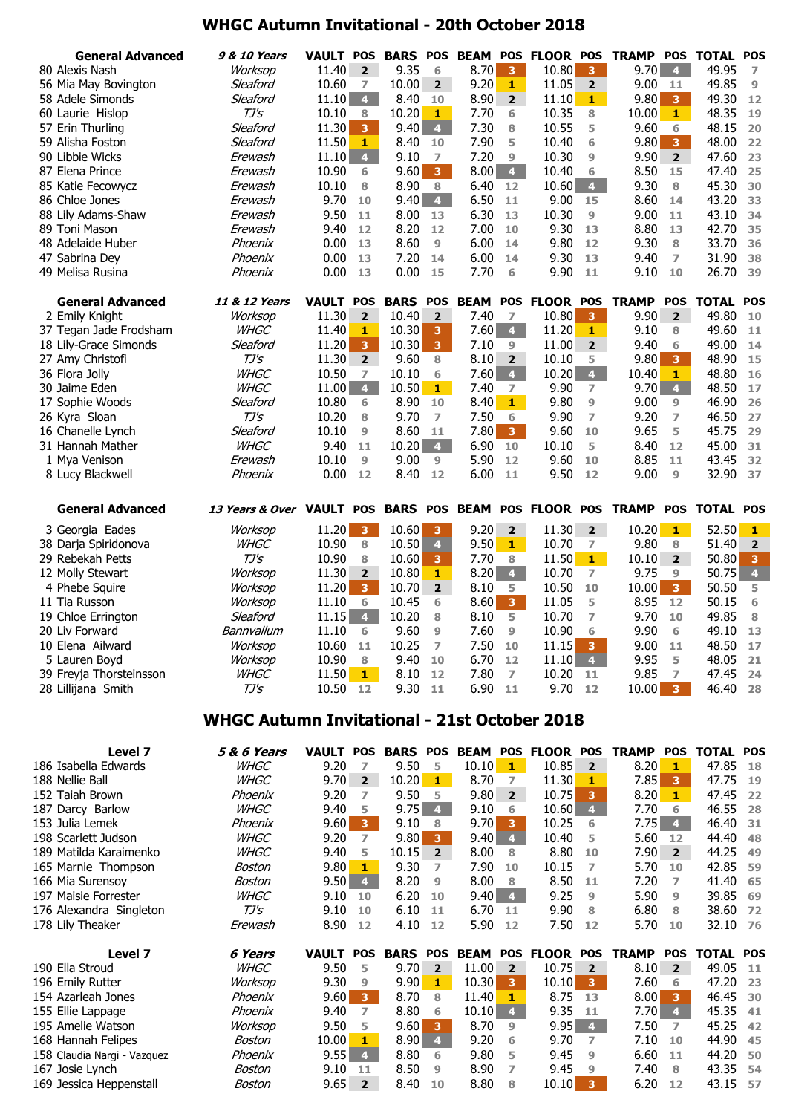## **WHGC Autumn Invitational - 20th October 2018**

| <b>General Advanced</b> | <b>9 &amp; 10 Years</b>                             | <b>VAULT POS</b> |                         |                 |                         | <b>BARS POS BEAM</b> |                | POS FLOOR POS   |                         | <b>TRAMP</b>                                              | <b>POS</b>              | TOTAL        | <b>POS</b>              |
|-------------------------|-----------------------------------------------------|------------------|-------------------------|-----------------|-------------------------|----------------------|----------------|-----------------|-------------------------|-----------------------------------------------------------|-------------------------|--------------|-------------------------|
| 80 Alexis Nash          | Worksop                                             | 11.40            | $\overline{2}$          | 9.35            | 6                       | 8.70                 | 3              | 10.80           | 3                       | 9.70                                                      | $\overline{4}$          | 49.95        | 7                       |
| 56 Mia May Bovington    | Sleaford                                            | 10.60            | 7                       | 10.00           | $\overline{2}$          | 9.20                 | 1              | 11.05           | $\overline{2}$          | 9.00                                                      | 11                      | 49.85        | 9                       |
| 58 Adele Simonds        | Sleaford                                            | 11.10            | $\overline{4}$          | 8.40            | 10                      | 8.90                 | $\overline{2}$ | 11.10           | $\mathbf{1}$            | 9.80                                                      | $\overline{\mathbf{3}}$ | 49.30        | 12                      |
| 60 Laurie Hislop        | $TJ\mathsf{S}$                                      | 10.10            | 8                       | 10.20           | $\mathbf{1}$            | 7.70                 | 6              | 10.35           | 8                       | 10.00                                                     | $\mathbf{1}$            | 48.35        | 19                      |
| 57 Erin Thurling        | Sleaford                                            | 11.30            | 3                       | 9.40            | $\overline{4}$          | 7.30                 | 8              | 10.55           | 5                       | 9.60                                                      | 6                       | 48.15        | 20                      |
| 59 Alisha Foston        | Sleaford                                            | 11.50            | 1                       | 8.40            | 10                      | 7.90                 | 5              | 10.40           | 6                       | 9.80                                                      | $\overline{3}$          | 48.00        | 22                      |
| 90 Libbie Wicks         | Erewash                                             | 11.10            | $\overline{\mathbf{4}}$ | 9.10            | $\overline{7}$          | 7.20                 | 9              | 10.30           | 9                       | 9.90                                                      | $\overline{2}$          | 47.60        | 23                      |
| 87 Elena Prince         | Erewash                                             | 10.90            | 6                       | 9.60            | $\overline{\mathbf{3}}$ | 8.00                 | 4 <sup>1</sup> | 10.40           | 6                       | 8.50                                                      | 15                      | 47.40        | 25                      |
| 85 Katie Fecowycz       | Erewash                                             | 10.10            | 8                       | 8.90            | 8                       | 6.40                 | 12             | 10.60           | 4 <sup>1</sup>          | 9.30                                                      | 8                       | 45.30        | 30                      |
| 86 Chloe Jones          | Erewash                                             | 9.70             | 10                      | 9.40            | $\overline{4}$          | 6.50                 | 11             | 9.00            | 15                      | 8.60                                                      | 14                      | 43.20        | 33                      |
| 88 Lily Adams-Shaw      | Erewash                                             | 9.50             | 11                      | 8.00            | 13                      | 6.30                 | 13             | 10.30           | 9                       | 9.00                                                      | 11                      | 43.10        | 34                      |
| 89 Toni Mason           | Erewash                                             | 9.40             | 12                      | 8.20            | 12                      | 7.00                 | 10             | 9.30            | 13                      | 8.80                                                      | 13                      | 42.70        | 35                      |
| 48 Adelaide Huber       | Phoenix                                             | 0.00             | 13                      | 8.60            | $\overline{9}$          | 6.00                 | 14             | 9.80            | 12                      | 9.30                                                      | 8                       | 33.70        | 36                      |
| 47 Sabrina Dey          | Phoenix                                             | 0.00             | 13                      | 7.20            | 14                      | 6.00                 | 14             | 9.30            | 13                      | 9.40                                                      | 7                       | 31.90        | 38                      |
| 49 Melisa Rusina        | Phoenix                                             | 0.00             | 13                      | 0.00            | 15                      | 7.70                 | 6              | 9.90            | 11                      | 9.10                                                      | 10                      | 26.70        | 39                      |
| <b>General Advanced</b> | 11 & 12 Years                                       | <b>VAULT</b>     | <b>POS</b>              | <b>BARS</b>     | <b>POS</b>              | <b>BEAM</b>          |                | POS FLOOR POS   |                         | <b>TRAMP</b>                                              | <b>POS</b>              | <b>TOTAL</b> | <b>POS</b>              |
| 2 Emily Knight          | Worksop                                             | 11.30            | $\overline{2}$          | 10.40           | $\overline{\mathbf{2}}$ | 7.40                 | 7              | 10.80           | 3                       | 9.90                                                      | $\overline{2}$          | 49.80        | 10                      |
| 37 Tegan Jade Frodsham  | <b>WHGC</b>                                         | 11.40            | 1                       | 10.30           | 3                       | 7.60                 | 4 <sup>1</sup> | 11.20           | 1                       | 9.10                                                      | 8                       | 49.60        | 11                      |
| 18 Lily-Grace Simonds   | Sleaford                                            | 11.20            | 3                       | 10.30           | 3 <sup>7</sup>          | 7.10                 | 9              | 11.00           | $\overline{2}$          | 9.40                                                      | 6                       | 49.00        | 14                      |
| 27 Amy Christofi        | $TJ\mathsf{S}$                                      | 11.30            | $\overline{2}$          | 9.60            | 8                       | 8.10                 | $\overline{2}$ | 10.10           | 5                       | 9.80                                                      | $\overline{\mathbf{3}}$ | 48.90        | 15                      |
| 36 Flora Jolly          | <b>WHGC</b>                                         | 10.50            | $\overline{7}$          | 10.10           | 6                       | 7.60                 | 4 <sup>1</sup> | 10.20           | $\overline{4}$          | 10.40                                                     | 1                       | 48.80        | 16                      |
| 30 Jaime Eden           | <b>WHGC</b>                                         | 11.00            | $\overline{4}$          | 10.50           | $1 -$                   | 7.40                 | 7              | 9.90            | 7                       | 9.70                                                      | $\overline{4}$          | 48.50        | 17                      |
| 17 Sophie Woods         | Sleaford                                            | 10.80            | 6                       | 8.90            | 10                      | 8.40                 | 1              | 9.80            | 9                       | 9.00                                                      | 9                       | 46.90        | 26                      |
| 26 Kyra Sloan           | $TJ\prime S$                                        | 10.20            | 8                       | 9.70            | 7                       | 7.50                 | 6              | 9.90            | 7                       | 9.20                                                      | $\overline{ }$          | 46.50        | 27                      |
| 16 Chanelle Lynch       | Sleaford                                            | 10.10            | 9                       | 8.60            | 11                      | 7.80                 | 3 <sup>7</sup> | 9.60            | 10                      | 9.65                                                      | 5                       | 45.75        | 29                      |
| 31 Hannah Mather        | <b>WHGC</b>                                         | 9.40             | 11                      | 10.20           | $\overline{4}$          | 6.90                 | 10             | 10.10           | 5                       | 8.40                                                      | 12                      | 45.00        | 31                      |
| 1 Mya Venison           | Erewash                                             | 10.10            | 9                       | 9.00            | 9                       | 5.90                 | 12             | 9.60            | 10                      | 8.85                                                      | 11                      | 43.45        | 32                      |
| 8 Lucy Blackwell        | Phoenix                                             | 0.00             | 12                      | 8.40            | 12                      | 6.00                 | 11             | 9.50            | 12                      | 9.00                                                      | 9                       | 32.90        | 37                      |
|                         |                                                     |                  |                         |                 |                         |                      |                |                 |                         |                                                           |                         |              |                         |
| <b>General Advanced</b> | 13 Years & Over VAULT POS                           |                  |                         | <b>BARS POS</b> |                         | <b>BEAM</b>          |                | POS FLOOR POS   |                         | <b>TRAMP</b>                                              | <b>POS</b>              | TOTAL        | <b>POS</b>              |
| 3 Georgia Eades         | Worksop                                             | 11.20            | 3                       | 10.60           | 3                       | 9.20                 | $\overline{2}$ | 11.30           | $\overline{2}$          | 10.20                                                     | $\mathbf{1}$            | 52.50        | 1                       |
| 38 Darja Spiridonova    | <b>WHGC</b>                                         | 10.90            | 8                       | 10.50           | $\overline{\mathbf{4}}$ | 9.50                 | $1 -$          | 10.70           | 7                       | 9.80                                                      | 8                       | 51.40        | $\mathbf{2}$            |
| 29 Rebekah Petts        | $TJ\prime S$                                        | 10.90            | 8                       | 10.60           | 3                       | 7.70                 | 8              | 11.50           | $1 -$                   | 10.10                                                     | $\overline{\mathbf{2}}$ | 50.80        | $\overline{\mathbf{3}}$ |
| 12 Molly Stewart        | Worksop                                             | 11.30            | $\overline{\mathbf{2}}$ | 10.80           | $\mathbf{1}$            | 8.20                 | $\overline{4}$ | 10.70           | 7                       | 9.75                                                      | 9                       | 50.75        | $\overline{\mathbf{4}}$ |
| 4 Phebe Squire          | Worksop                                             | 11.20            | $\overline{\mathbf{3}}$ | 10.70           | $\overline{2}$          | 8.10                 | 5              | 10.50           | 10                      | 10.00                                                     | $\overline{\mathbf{3}}$ | 50.50        | 5                       |
| 11 Tia Russon           | Worksop                                             | 11.10            | 6                       | 10.45           | 6                       | 8.60                 | 3 <sup>7</sup> | 11.05           | 5                       | 8.95                                                      | 12                      | 50.15        | 6                       |
| 19 Chloe Errington      | Sleaford                                            | 11.15            | $\overline{4}$          | 10.20           | 8                       | 8.10                 | 5              | 10.70           | 7                       | 9.70                                                      | 10                      | 49.85        | 8                       |
| 20 Liv Forward          | Bannvallum                                          | 11.10            | 6                       | 9.60            | 9                       | 7.60                 | 9              | 10.90           | 6                       | 9.90                                                      | 6                       | 49.10        | 13                      |
| 10 Elena Ailward        | Worksop                                             | 10.60 11         |                         | $10.25$ 7       |                         | 7.50 10              |                | 11.15           | $\overline{\mathbf{3}}$ | $9.00$ 11                                                 |                         | 48.50 17     |                         |
| 5 Lauren Boyd           | Worksop                                             | 10.90            | 8                       | 9.40 10         |                         | 6.70                 | 12             | $11.10 \quad 4$ |                         | 9.95                                                      | - 5                     | 48.05        | 21                      |
| 39 Freyja Thorsteinsson | <b>WHGC</b>                                         | 11.50 <b>1</b>   |                         | 8.10 12         |                         | 7.80                 | $\overline{ }$ | $10.20$ 11      |                         | 9.85                                                      | $\overline{7}$          | 47.45 24     |                         |
| 28 Lillijana Smith      | TJ's                                                | 10.50 12         |                         | $9.30$ 11       |                         | $6.90$ 11            |                | $9.70$ 12       |                         | $10.00 \, \text{3}$                                       |                         | 46.40 28     |                         |
|                         | <b>WHGC Autumn Invitational - 21st October 2018</b> |                  |                         |                 |                         |                      |                |                 |                         |                                                           |                         |              |                         |
| Level 7                 | <b>5 &amp; 6 Years</b>                              |                  |                         |                 |                         |                      |                |                 |                         | VAULT POS BARS POS BEAM POS FLOOR POS TRAMP POS TOTAL POS |                         |              |                         |

| LCVCI /                     | כום זו ט צ  | VAULI        | rvj                     | DANJ        | гоэ            | DLAM        | гүэ            | гьчик        | гүэ                     | IMWIT        | гүэ            | IVIAL        | rvj        |
|-----------------------------|-------------|--------------|-------------------------|-------------|----------------|-------------|----------------|--------------|-------------------------|--------------|----------------|--------------|------------|
| 186 Isabella Edwards        | <b>WHGC</b> | 9.20         | $\overline{7}$          | 9.50        | 5              | 10.10       | $\mathbf{1}$   | 10.85        | $\overline{2}$          | 8.20         | 1              | 47.85        | 18         |
| 188 Nellie Ball             | <b>WHGC</b> | 9.70         | $\overline{2}$          | 10.20       | 1              | 8.70        | 7              | 11.30        | 1                       | 7.85         | 3              | 47.75        | 19         |
| 152 Taiah Brown             | Phoenix     | 9.20         | 7                       | 9.50        | 5              | 9.80        | $\overline{2}$ | 10.75        | 3                       | 8.20         | 1              | 47.45        | 22         |
| 187 Darcy Barlow            | <b>WHGC</b> | 9.40         | 5                       | 9.75        | $\overline{4}$ | 9.10        | 6              | 10.60        | $\overline{4}$          | 7.70         | 6              | 46.55        | 28         |
| 153 Julia Lemek             | Phoenix     | 9.60         | $\mathbf{3}$            | 9.10        | 8              | 9.70        | 3              | 10.25        | 6                       | 7.75         | $\overline{4}$ | 46.40        | 31         |
| 198 Scarlett Judson         | <b>WHGC</b> | 9.20         | $\overline{7}$          | 9.80        | 3              | 9.40        | 4              | 10.40        | 5                       | 5.60         | 12             | 44.40        | 48         |
| 189 Matilda Karaimenko      | <b>WHGC</b> | 9.40         | 5                       | 10.15       | $\overline{2}$ | 8.00        | 8              | 8.80         | 10                      | 7.90         | $\overline{2}$ | 44.25        | 49         |
| 165 Marnie Thompson         | Boston      | 9.80         | $\mathbf{1}$            | 9.30        | 7              | 7.90        | 10             | 10.15        | 7                       | 5.70         | 10             | 42.85        | 59         |
| 166 Mia Surensoy            | Boston      | 9.50         | $\overline{4}$          | 8.20        | 9              | 8.00        | 8              | 8.50         | 11                      | 7.20         | 7              | 41.40        | 65         |
| 197 Maisie Forrester        | <b>WHGC</b> | 9.10         | 10                      | 6.20        | 10             | 9.40        | $\overline{4}$ | 9.25         | 9                       | 5.90         | 9              | 39.85        | 69         |
| 176 Alexandra Singleton     | TJ's        | 9.10         | 10                      | 6.10        | 11             | 6.70        | 11             | 9.90         | 8                       | 6.80         | 8              | 38.60        | 72         |
| 178 Lily Theaker            | Erewash     | 8.90         | 12                      | 4.10        | 12             | 5.90        | 12             | 7.50         | 12                      | 5.70         | 10             | 32.10        | 76         |
| Level 7                     | 6 Years     | <b>VAULT</b> | <b>POS</b>              | <b>BARS</b> | <b>POS</b>     | <b>BEAM</b> | <b>POS</b>     | <b>FLOOR</b> | <b>POS</b>              | <b>TRAMP</b> | <b>POS</b>     | <b>TOTAL</b> | <b>POS</b> |
| 190 Ella Stroud             | <i>WHGC</i> | 9.50         | 5                       | 9.70        | $\overline{2}$ | 11.00       | $\overline{2}$ | 10.75        | $\overline{2}$          | 8.10         | $\overline{2}$ | 49.05        | 11         |
| 196 Emily Rutter            | Worksop     | 9.30         | 9                       | 9.90        | 1              | 10.30       | 3              | 10.10        | $\overline{\mathbf{3}}$ | 7.60         | 6              | 47.20        | 23         |
| 154 Azarleah Jones          | Phoenix     | 9.60         | $\overline{\mathbf{3}}$ | 8.70        | 8              | 11.40       | 1              | 8.75         | 13                      | 8.00         | 3              | 46.45        | 30         |
| 155 Ellie Lappage           | Phoenix     | 9.40         | $\overline{ }$          | 8.80        | 6              | 10.10       | $\overline{4}$ | 9.35         | 11                      | 7.70         | $\overline{4}$ | 45.35        | 41         |
| 195 Amelie Watson           | Worksop     | 9.50         | 5                       | 9.60        | 3              | 8.70        | 9              | 9.95         | $\overline{4}$          | 7.50         | 7              | 45.25        | 42         |
| 168 Hannah Felipes          | Boston      | 10.00        | 1                       | 8.90        | $\overline{4}$ | 9.20        | 6              | 9.70         | 7                       | 7.10         | 10             | 44.90        | 45         |
| 158 Claudia Nargi - Vazguez | Phoenix     | 9.55         | $\overline{4}$          | 8.80        | 6              | 9.80        | 5              | 9.45         | 9                       | 6.60         | 11             | 44.20        | 50         |
| 167 Josie Lynch             | Boston      | 9.10         | 11                      |             |                |             |                | 9.45         | 9                       | 7.40         |                | 43.35        | 54         |
|                             |             |              |                         | 8.50        | 9              | 8.90        | 7              |              |                         |              | 8              |              |            |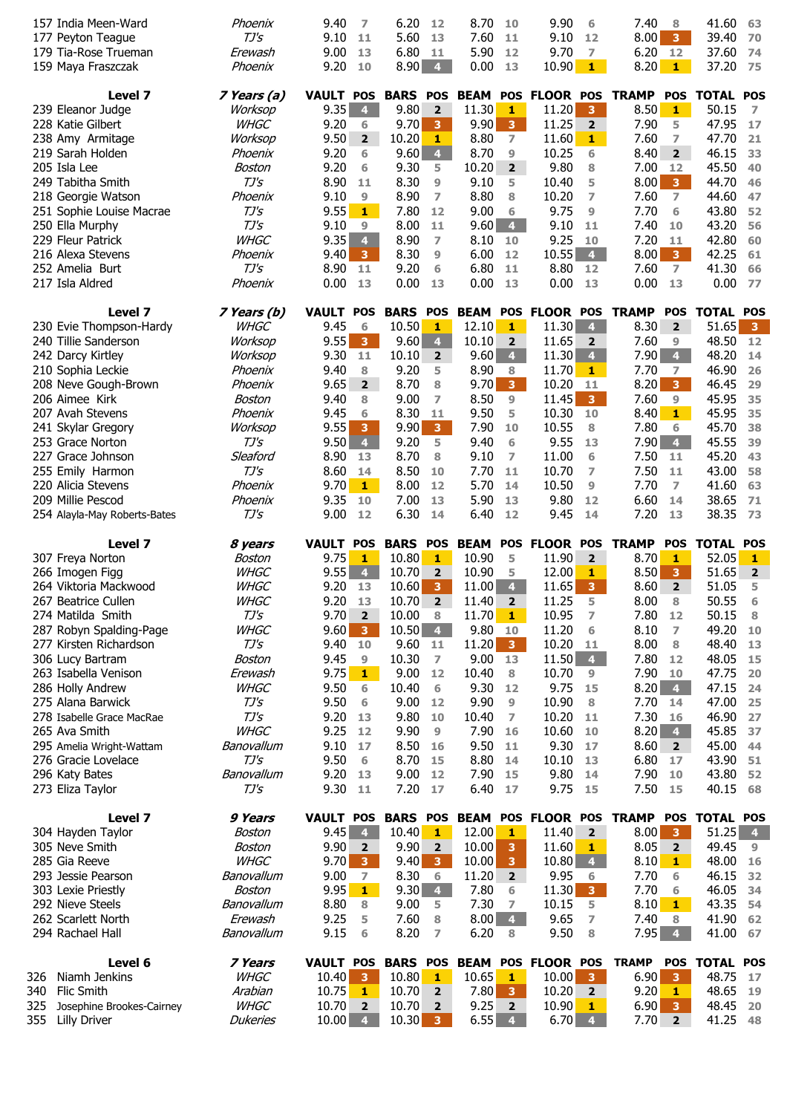| 157 India Meen-Ward<br>177 Peyton Teague<br>179 Tia-Rose Trueman<br>159 Maya Fraszczak | Phoenix<br>$TJ\prime S$<br>Erewash<br>Phoenix | 9.40<br>7<br>9.10<br>-11<br>9.00<br>13<br>9.20<br>10 | 6.20<br>12<br>5.60<br>13<br>6.80<br>11<br>8.90<br>$\overline{4}$ | 8.70<br>10<br>7.60<br>11<br>5.90<br>12<br>0.00<br>13 | 9.90<br>6<br>9.10<br>12<br>9.70<br>$\overline{\phantom{a}}$<br>10.90<br>$1 -$ | 7.40<br>8<br>8.00<br>$\overline{\mathbf{3}}$<br>6.20<br>12<br>8.20<br>$\ddot{\bullet}$ | 41.60<br>63<br>39.40<br>70<br>37.60<br>74<br>37.20<br>75 |
|----------------------------------------------------------------------------------------|-----------------------------------------------|------------------------------------------------------|------------------------------------------------------------------|------------------------------------------------------|-------------------------------------------------------------------------------|----------------------------------------------------------------------------------------|----------------------------------------------------------|
| Level 7                                                                                | 7 Years (a)                                   | <b>VAULT POS</b>                                     | <b>BARS</b><br><b>POS</b>                                        | <b>BEAM</b>                                          | POS FLOOR POS                                                                 | <b>TRAMP</b><br><b>POS</b>                                                             | <b>TOTAL</b><br><b>POS</b>                               |
| 239 Eleanor Judge                                                                      | Worksop                                       | 9.35<br>$\overline{\mathbf{4}}$                      | 9.80<br>$\overline{2}$                                           | 11.30<br>1                                           | 11.20<br>$\overline{\mathbf{3}}$                                              | 8.50<br>$\mathbf{1}$                                                                   | 50.15<br>7                                               |
| 228 Katie Gilbert                                                                      | <b>WHGC</b>                                   | 9.20<br>6                                            | 9.70<br>3                                                        | 9.90<br>$\overline{\mathbf{3}}$                      | 11.25<br>$\overline{2}$                                                       | 7.90<br>5                                                                              | 47.95<br>17                                              |
| 238 Amy Armitage                                                                       | Worksop                                       | 9.50<br>$\overline{2}$                               | 10.20<br>1                                                       | 8.80<br>$\overline{7}$                               | 11.60<br>$\mathbf{1}$                                                         | 7.60<br>7                                                                              | 47.70<br>21                                              |
| 219 Sarah Holden                                                                       | Phoenix                                       | 9.20<br>6                                            | 9.60<br>$\overline{\mathbf{4}}$                                  | 8.70<br>9                                            | 10.25<br>6                                                                    | 8.40<br>$\overline{2}$                                                                 | 46.15<br>33                                              |
| 205 Isla Lee                                                                           | Boston                                        | 9.20<br>6                                            | 9.30<br>5                                                        | 10.20<br>$\overline{2}$                              | 9.80<br>8                                                                     | 7.00<br>12                                                                             | 45.50<br>40                                              |
| 249 Tabitha Smith                                                                      | $TJ\prime S$                                  | 8.90<br>11                                           | 8.30<br>9                                                        | 9.10<br>5                                            | 10.40<br>5                                                                    | 8.00<br>3 <sup>7</sup>                                                                 | 44.70<br>46                                              |
| 218 Georgie Watson                                                                     | Phoenix                                       | 9.10<br>9                                            | $\overline{7}$<br>8.90                                           | 8.80<br>8                                            | 10.20<br>$\overline{ }$                                                       | 7.60<br>$\overline{ }$                                                                 | 44.60<br>47                                              |
| 251 Sophie Louise Macrae                                                               | $TJ\prime S$                                  | 9.55<br>$1 -$                                        | 7.80<br>12                                                       | 9.00<br>6                                            | 9.75<br>9                                                                     | 6<br>7.70                                                                              | 43.80<br>52                                              |
| 250 Ella Murphy<br>229 Fleur Patrick                                                   | $TJ\prime S$<br><b>WHGC</b>                   | 9.10<br>$\overline{9}$<br>9.35<br>$\overline{4}$     | 8.00<br>11<br>8.90<br>$\overline{ }$                             | 9.60<br>$\overline{4}$                               | 9.10<br>11                                                                    | 7.40<br>10                                                                             | 43.20<br>56<br>42.80                                     |
| 216 Alexa Stevens                                                                      | Phoenix                                       | 9.40<br>$\mathbf{3}$                                 | 8.30<br>9                                                        | 8.10<br>10<br>6.00<br>12                             | 9.25<br>10<br>10.55<br>4 <sup>1</sup>                                         | 7.20<br>11<br>8.00<br>$\overline{\mathbf{3}}$                                          | 60<br>42.25<br>61                                        |
| 252 Amelia Burt                                                                        | $TJ\prime S$                                  | 8.90<br>11                                           | 9.20<br>6                                                        | 6.80<br>11                                           | 8.80<br>12                                                                    | 7.60<br>$\overline{7}$                                                                 | 41.30<br>66                                              |
| 217 Isla Aldred                                                                        | Phoenix                                       | 0.00<br>13                                           | 0.00<br>13                                                       | 0.00<br>13                                           | 0.00<br>13                                                                    | 0.00<br>13                                                                             | 0.00<br>77                                               |
| Level 7                                                                                | 7 Years (b)                                   | <b>VAULT POS</b>                                     | <b>BARS</b><br><b>POS</b>                                        | <b>BEAM</b>                                          | POS FLOOR POS                                                                 | <b>TRAMP</b><br><b>POS</b>                                                             | <b>TOTAL</b><br><b>POS</b>                               |
| 230 Evie Thompson-Hardy                                                                | <b>WHGC</b>                                   | 9.45<br>6                                            | 10.50<br>1                                                       | 12.10<br>1                                           | 11.30<br>4 <sup>1</sup>                                                       | 8.30<br>$\overline{2}$                                                                 | 51.65<br>$\overline{\mathbf{3}}$                         |
| 240 Tillie Sanderson                                                                   | Worksop                                       | 9.55<br>3 <sup>7</sup>                               | 9.60<br>$\overline{4}$                                           | 10.10<br>$\overline{2}$                              | 11.65<br>$\overline{2}$                                                       | 7.60<br>9                                                                              | 48.50<br>12                                              |
| 242 Darcy Kirtley                                                                      | Worksop                                       | 9.30<br>11                                           | 10.10<br>$\overline{\mathbf{2}}$                                 | 9.60<br>$\overline{4}$                               | 11.30<br>$\overline{4}$                                                       | 7.90<br>$\overline{4}$                                                                 | 48.20<br>14                                              |
| 210 Sophia Leckie                                                                      | Phoenix                                       | 9.40<br>8                                            | 9.20<br>5                                                        | 8.90<br>8                                            | 11.70<br>$\mathbf{1}$                                                         | 7.70<br>$\overline{ }$                                                                 | 46.90<br>26                                              |
| 208 Neve Gough-Brown                                                                   | Phoenix                                       | 9.65<br>$\overline{2}$                               | 8.70<br>8                                                        | 9.70<br>3 <sup>°</sup>                               | 10.20<br>11                                                                   | 8.20<br>3 <sup>°</sup>                                                                 | 46.45<br>29                                              |
| 206 Aimee Kirk                                                                         | Boston                                        | 9.40<br>8                                            | 9.00<br>$\overline{ }$                                           | 8.50<br>9                                            | 11.45<br>3 <sup>°</sup>                                                       | 7.60<br>9                                                                              | 45.95<br>35                                              |
| 207 Avah Stevens                                                                       | Phoenix                                       | 9.45<br>6                                            | 8.30<br>11                                                       | 9.50<br>5                                            | 10.30<br>10                                                                   | 8.40<br>1                                                                              | 45.95<br>35                                              |
| 241 Skylar Gregory<br>253 Grace Norton                                                 | Worksop<br>$TJ\mathsf{S}$                     | 9.55<br>$\overline{3}$<br>9.50<br>$\overline{4}$     | 9.90<br>$\overline{\mathbf{3}}$<br>9.20<br>5                     | 7.90<br>10<br>6                                      | 10.55<br>8<br>9.55                                                            | 7.80<br>6<br>7.90<br>$\overline{4}$                                                    | 45.70<br>38<br>45.55                                     |
| 227 Grace Johnson                                                                      | Sleaford                                      | 8.90<br>13                                           | 8.70<br>8                                                        | 9.40<br>9.10<br>7                                    | 13<br>11.00<br>6                                                              | 7.50<br>11                                                                             | 39<br>45.20<br>43                                        |
| 255 Emily Harmon                                                                       | $TJ\mathsf{S}$                                | 8.60<br>14                                           | 8.50<br>10                                                       | 7.70<br>11                                           | 10.70<br>7                                                                    | 7.50<br>11                                                                             | 43.00<br>58                                              |
| 220 Alicia Stevens                                                                     | Phoenix                                       | 9.70<br>$1 -$                                        | 8.00<br>12                                                       | 5.70<br>14                                           | 10.50<br>9                                                                    | 7.70<br>$\overline{7}$                                                                 | 41.60<br>63                                              |
| 209 Millie Pescod                                                                      | Phoenix                                       | 9.35<br>10                                           | 7.00<br>13                                                       | 5.90<br>13                                           | 9.80<br>12                                                                    | 6.60<br>14                                                                             | 38.65<br>71                                              |
| 254 Alayla-May Roberts-Bates                                                           | $TJ\prime S$                                  | 9.00<br>12                                           | 6.30<br>14                                                       | 6.40<br>12                                           | 9.45<br>14                                                                    | 7.20<br>13                                                                             | 38.35<br>73                                              |
|                                                                                        |                                               |                                                      |                                                                  |                                                      |                                                                               |                                                                                        |                                                          |
| Level 7                                                                                | 8 years                                       | <b>VAULT POS</b>                                     | <b>BARS</b><br><b>POS</b>                                        | <b>BEAM</b><br><b>POS</b>                            | <b>FLOOR</b><br><b>POS</b>                                                    | <b>TRAMP</b><br><b>POS</b>                                                             | <b>TOTAL</b><br><b>POS</b>                               |
| 307 Freya Norton                                                                       | Boston                                        | 9.75<br>1                                            | 10.80<br>$\mathbf{1}$                                            | 10.90<br>5                                           | 11.90<br>$\overline{2}$                                                       | 8.70<br>$\mathbf{1}$                                                                   | 52.05<br>$\mathbf{1}$                                    |
| 266 Imogen Figg                                                                        | <b>WHGC</b>                                   | 9.55<br>$\overline{\mathbf{4}}$                      | 10.70<br>$\overline{\mathbf{2}}$                                 | 10.90<br>5                                           | 12.00<br>1                                                                    | 8.50<br>3                                                                              | 51.65<br>$\mathbf{2}$                                    |
| 264 Viktoria Mackwood                                                                  | <b>WHGC</b>                                   | 9.20<br>13                                           | 10.60<br>$\overline{\mathbf{3}}$                                 | $\overline{4}$<br>11.00                              | 11.65<br>3 <sup>°</sup>                                                       | 8.60<br>$\overline{2}$                                                                 | 51.05<br>5                                               |
| 267 Beatrice Cullen                                                                    | <b>WHGC</b>                                   | 9.20<br>13                                           | 10.70<br>$\overline{2}$                                          | 11.40<br>$\overline{\mathbf{2}}$                     | 11.25<br>5                                                                    | 8.00<br>8                                                                              | 50.55<br>6                                               |
| 274 Matilda Smith                                                                      | TJ's                                          | 9.70<br>$\overline{\mathbf{2}}$                      | 10.00<br>8                                                       | 11.70<br>$\mathbf{1}$                                | 10.95<br>7                                                                    | 7.80<br>12                                                                             | 50.15<br>8                                               |
| 287 Robyn Spalding-Page                                                                | <b>WHGC</b>                                   | 9.60<br>$\overline{\mathbf{3}}$                      | 10.50<br>$\overline{4}$                                          | 9.80<br>10                                           | 11.20<br>6                                                                    | 8.10<br>$\overline{ }$                                                                 | 49.20<br>10                                              |
| 277 Kirsten Richardson                                                                 | TJ's                                          | 9.40 10                                              | 9.60<br>11                                                       | 11.20<br>3 <sup>2</sup>                              | 10.20<br>11                                                                   | 8.00<br>8                                                                              | 48.40<br>13                                              |
| 306 Lucy Bartram                                                                       | Boston                                        | 9.45<br>9                                            | 10.30<br>$\overline{7}$<br>12                                    | 9.00<br>13<br>8                                      | 11.50<br>4 <sup>1</sup>                                                       | 7.80<br>12<br>10                                                                       | 48.05<br>15                                              |
| 263 Isabella Venison<br>286 Holly Andrew                                               | Erewash<br><b>WHGC</b>                        | 9.75<br>$1 -$<br>9.50<br>6                           | 9.00<br>10.40<br>6                                               | 10.40<br>9.30<br>12                                  | 10.70<br>9<br>9.75<br>15                                                      | 7.90<br>$8.20 \quad 4$                                                                 | 47.75<br>20<br>47.15<br>24                               |
| 275 Alana Barwick                                                                      | TJ's                                          | 9.50<br>6                                            | 9.00<br>12                                                       | 9.90<br>9                                            | 10.90<br>8                                                                    | 7.70<br>14                                                                             | 47.00<br>25                                              |
| 278 Isabelle Grace MacRae                                                              | $TJ\prime S$                                  | 9.20<br>13                                           | 9.80<br>10                                                       | 10.40<br>7                                           | 10.20<br>11                                                                   | 7.30<br>16                                                                             | 46.90<br>27                                              |
| 265 Ava Smith                                                                          | <b>WHGC</b>                                   | 9.25<br>12                                           | 9.90<br>9                                                        | 7.90<br>16                                           | 10.60<br>10                                                                   | 8.20<br>$\overline{4}$                                                                 | 45.85<br>37                                              |
| 295 Amelia Wright-Wattam                                                               | Banovallum                                    | 9.10<br>17                                           | 8.50<br>16                                                       | 9.50<br>11                                           | 9.30<br>17                                                                    | 8.60<br>$\overline{2}$                                                                 | 45.00<br>44                                              |
| 276 Gracie Lovelace                                                                    | $TJ\prime S$                                  | 9.50<br>6                                            | 8.70<br>15                                                       | 8.80<br>14                                           | 10.10<br>13                                                                   | 6.80<br>17                                                                             | 43.90<br>51                                              |
| 296 Katy Bates                                                                         | Banovallum                                    | 9.20<br>13                                           | 9.00<br>12                                                       | 7.90<br>15                                           | 9.80<br>14                                                                    | 7.90<br>10                                                                             | 43.80<br>52                                              |
| 273 Eliza Taylor                                                                       | TJ's                                          | 9.30<br>11                                           | 7.20<br>17                                                       | 6.40<br>17                                           | 9.75<br>15                                                                    | 7.50<br>15                                                                             | 40.15<br>68                                              |
| Level 7                                                                                | 9 Years                                       | <b>VAULT POS</b>                                     | <b>BARS POS</b>                                                  |                                                      | <b>BEAM POS FLOOR POS</b>                                                     | <b>TRAMP</b><br><b>POS</b>                                                             | <b>TOTAL POS</b>                                         |
| 304 Hayden Taylor                                                                      | Boston                                        | 9.45<br>$\overline{4}$                               | 10.40<br>1                                                       | 12.00<br>1                                           | 11.40<br>$\overline{2}$                                                       | 8.00<br>$\overline{\mathbf{3}}$                                                        | 51.25<br>$\overline{4}$                                  |
| 305 Neve Smith                                                                         | Boston                                        | 9.90<br>$\overline{2}$                               | 9.90<br>$\overline{\mathbf{2}}$                                  | 10.00<br>$\overline{\mathbf{3}}$                     | 11.60<br>$\mathbf{1}$                                                         | 8.05<br>$2^{\circ}$                                                                    | 49.45<br>9                                               |
| 285 Gia Reeve                                                                          | <b>WHGC</b>                                   | 9.70<br>3 <sup>°</sup>                               | 9.40<br>$\overline{\mathbf{3}}$                                  | 10.00<br>$\mathbf{3}$                                | 10.80<br>$\overline{4}$                                                       | 8.10<br>1                                                                              | 48.00<br>16                                              |
| 293 Jessie Pearson                                                                     | Banovallum                                    | 9.00<br>$\overline{ }$                               | 8.30<br>6                                                        | 11.20<br>$2^{\circ}$                                 | 9.95<br>6                                                                     | 7.70<br>6                                                                              | 46.15<br>32                                              |
| 303 Lexie Priestly                                                                     | Boston                                        | 9.95<br>$1 -$                                        | 9.30<br>$\overline{4}$                                           | 7.80<br>6                                            | 11.30<br>3 <sup>°</sup>                                                       | 7.70<br>6                                                                              | 46.05<br>34                                              |
| 292 Nieve Steels                                                                       | Banovallum                                    | 8.80<br>8                                            | 9.00<br>5                                                        | 7.30<br>$\overline{ }$                               | 10.15<br>5                                                                    | 8.10<br>1                                                                              | 43.35<br>54                                              |
| 262 Scarlett North<br>294 Rachael Hall                                                 | Erewash<br>Banovallum                         | 9.25<br>5<br>9.15<br>6                               | 7.60<br>8<br>8.20<br>7                                           | 8.00<br>$\overline{4}$<br>6.20<br>8                  | 9.65<br>7<br>9.50<br>8                                                        | 7.40<br>8<br>7.95<br>$\overline{4}$                                                    | 41.90<br>62<br>41.00<br>67                               |
|                                                                                        |                                               |                                                      |                                                                  |                                                      |                                                                               |                                                                                        |                                                          |
| Level 6                                                                                | 7 Years                                       | <b>VAULT POS</b>                                     | <b>BARS</b><br><b>POS</b>                                        |                                                      | <b>BEAM POS FLOOR POS</b>                                                     | <b>TRAMP</b><br><b>POS</b>                                                             | <b>TOTAL</b><br><b>POS</b>                               |
| 326<br>Niamh Jenkins                                                                   | <b>WHGC</b>                                   | 10.40<br>3                                           | 10.80<br>1                                                       | 10.65<br>1                                           | 10.00<br>3 <sup>7</sup>                                                       | 6.90<br>3                                                                              | 48.75<br>17                                              |
| 340<br>Flic Smith<br>325<br>Josephine Brookes-Cairney                                  | Arabian<br><b>WHGC</b>                        | 10.75<br>1<br>10.70<br>$\overline{2}$                | 10.70<br>$\overline{2}$<br>10.70<br>$\overline{\mathbf{2}}$      | 7.80<br>$\mathbf{3}$<br>9.25<br>$\overline{2}$       | 10.20<br>$\mathbf{2}$<br>10.90<br>1.                                          | 9.20<br>1<br>6.90<br>3                                                                 | 48.65<br>19<br>48.45<br>20                               |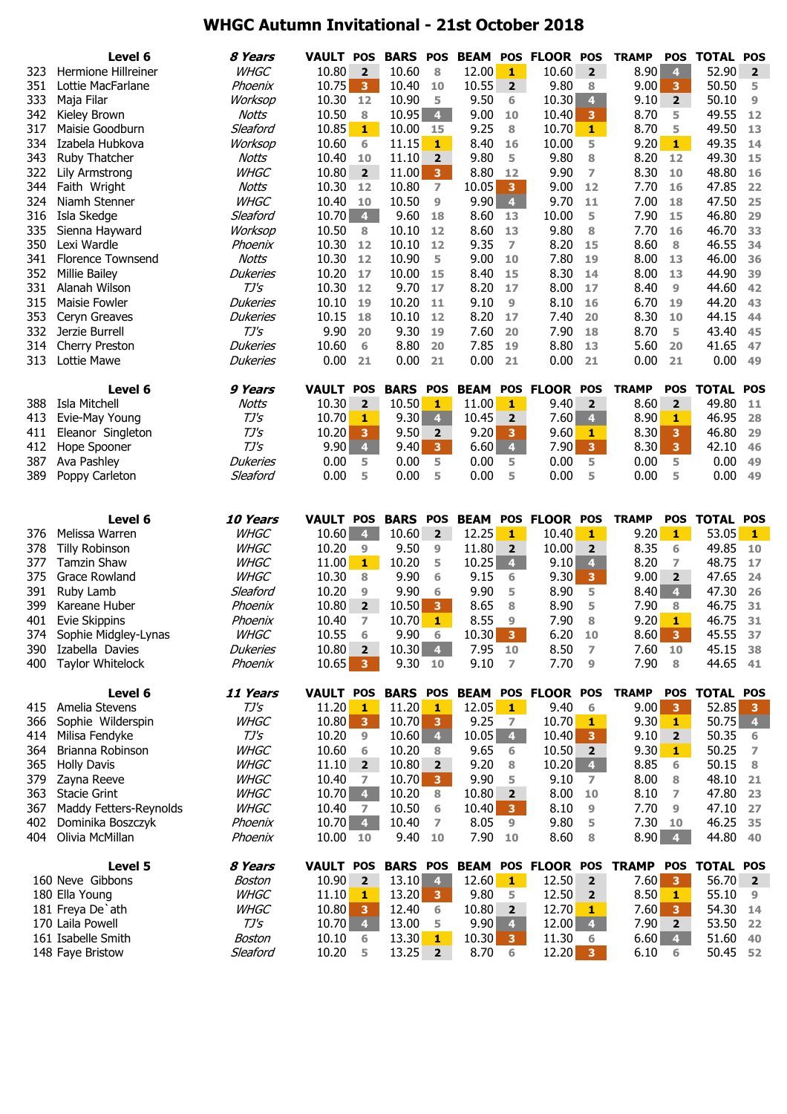# **WHGC Autumn Invitational - 21st October 2018**

|            | Level 6                                | 8 Years            | <b>VAULT POS</b>      |                         | <b>BARS</b>     | <b>POS</b>                   | <b>BEAM</b>   | <b>POS</b>              | <b>FLOOR POS</b>          |                         | <b>TRAMP</b> | <b>POS</b>              | <b>TOTAL</b>      | <b>POS</b>              |
|------------|----------------------------------------|--------------------|-----------------------|-------------------------|-----------------|------------------------------|---------------|-------------------------|---------------------------|-------------------------|--------------|-------------------------|-------------------|-------------------------|
| 323        | Hermione Hillreiner                    | <b>WHGC</b>        | 10.80                 | $\overline{2}$          | 10.60           | 8                            | 12.00         | 1                       | 10.60                     | $\overline{2}$          | 8.90         | $\overline{4}$          | 52.90             | $\overline{2}$          |
| 351        | Lottie MacFarlane                      | Phoenix            | 10.75                 | $\overline{\mathbf{3}}$ | 10.40           | 10                           | 10.55         | $\overline{2}$          | 9.80                      | 8                       | 9.00         | 3                       | 50.50             | 5                       |
| 333        | Maja Filar                             | Worksop            | 10.30                 | 12                      | 10.90           | 5                            | 9.50          | 6                       | 10.30                     | $\overline{4}$          | 9.10         | $\overline{2}$          | 50.10             | 9                       |
| 342        | Kieley Brown                           | Notts              | 10.50                 | 8                       | 10.95           | $\bullet$                    | 9.00          | 10                      | 10.40                     | $\overline{\mathbf{3}}$ | 8.70         | 5                       | 49.55             | 12                      |
| 317        | Maisie Goodburn                        | Sleaford           | 10.85                 | $\mathbf{1}$            | 10.00           | 15                           | 9.25          | 8                       | 10.70                     | $\mathbf{1}$            | 8.70         | 5                       | 49.50             | 13                      |
| 334        | Izabela Hubkova                        | Worksop            | 10.60                 | 6                       | 11.15           | 1                            | 8.40          | 16                      | 10.00                     | 5                       | 9.20         | $\mathbf{1}$            | 49.35             | 14                      |
| 343        | Ruby Thatcher                          | Notts              | 10.40                 | 10                      | 11.10           | 2                            | 9.80          | 5                       | 9.80                      | 8                       | 8.20         | 12                      | 49.30             | 15                      |
| 322        | Lily Armstrong                         | <b>WHGC</b>        | 10.80                 | $\overline{\mathbf{2}}$ | 11.00           | $\overline{\mathbf{3}}$      | 8.80          | 12                      | 9.90                      | 7                       | 8.30         | 10                      | 48.80             | 16                      |
| 344        | Faith Wright                           | <b>Notts</b>       | 10.30                 | 12                      | 10.80           | $\overline{ }$               | 10.05         | $\overline{\mathbf{3}}$ | 9.00                      | 12                      | 7.70         | 16                      | 47.85             | 22                      |
| 324        | Niamh Stenner                          | <b>WHGC</b>        | 10.40                 | 10                      | 10.50           | 9                            | 9.90          | $\overline{4}$          | 9.70                      | 11                      | 7.00         | 18                      | 47.50             | 25                      |
| 316        | Isla Skedge                            | Sleaford           | 10.70                 | $\overline{4}$          | 9.60            | 18                           | 8.60          | 13                      | 10.00                     | 5                       | 7.90         | 15                      | 46.80             | 29                      |
| 335        | Sienna Hayward                         | Worksop            | 10.50                 | 8                       | 10.10           | 12                           | 8.60          | 13                      | 9.80                      | 8                       | 7.70         | 16                      | 46.70             | 33                      |
| 350        | Lexi Wardle                            | Phoenix            | 10.30                 | 12                      | 10.10           | 12                           | 9.35          | $\overline{7}$          | 8.20                      | 15                      | 8.60         | 8                       | 46.55             | 34                      |
| 341        | <b>Florence Townsend</b>               | <b>Notts</b>       | 10.30                 | 12                      | 10.90           | 5                            | 9.00          | 10                      | 7.80                      | 19                      | 8.00         | 13                      | 46.00             | 36                      |
| 352        | <b>Millie Bailey</b>                   | <b>Dukeries</b>    | 10.20                 | 17                      | 10.00           | 15                           | 8.40          | 15                      | 8.30                      | 14                      | 8.00         | 13                      | 44.90             | 39                      |
| 331        | Alanah Wilson                          | TJ'S               | 10.30                 | 12                      | 9.70            | 17                           | 8.20          | 17                      | 8.00                      | 17                      | 8.40         | 9                       | 44.60             | 42                      |
| 315        | Maisie Fowler                          | <b>Dukeries</b>    | 10.10                 | 19                      | 10.20           | 11                           | 9.10          | 9                       | 8.10                      | 16                      | 6.70         | 19                      | 44.20             | 43                      |
| 353        | Ceryn Greaves                          | <b>Dukeries</b>    | 10.15                 | 18                      | 10.10           | 12                           | 8.20          | 17                      | 7.40                      | 20                      | 8.30         | 10                      | 44.15             | 44                      |
| 332        | Jerzie Burrell                         | TJ'S               | 9.90                  | 20                      | 9.30            | 19                           | 7.60          | 20                      | 7.90                      | 18                      | 8.70         | 5                       | 43.40             | 45                      |
| 314        | Cherry Preston                         | <b>Dukeries</b>    | 10.60                 | 6                       | 8.80            | 20                           | 7.85          | 19                      | 8.80                      | 13                      | 5.60         | 20                      | 41.65             | 47                      |
| 313        | Lottie Mawe                            | <b>Dukeries</b>    | 0.00                  | 21                      | 0.00            | 21                           | 0.00          | 21                      | 0.00                      | 21                      | 0.00         | 21                      | 0.00              | 49                      |
|            | Level 6                                | 9 Years            | <b>VAULT POS</b>      |                         | <b>BARS</b>     | <b>POS</b>                   | <b>BEAM</b>   | <b>POS</b>              | <b>FLOOR POS</b>          |                         | <b>TRAMP</b> | <b>POS</b>              | <b>TOTAL</b>      | <b>POS</b>              |
| 388        | Isla Mitchell                          | <b>Notts</b>       | 10.30                 | $\overline{2}$          | 10.50           | 1                            | 11.00         | 1                       | 9.40                      | $\overline{2}$          | 8.60         | $\overline{\mathbf{2}}$ | 49.80             | 11                      |
| 413        | Evie-May Young                         | $TJ\prime S$       | 10.70                 | 1                       | 9.30            | $\overline{4}$               | 10.45         | $\overline{2}$          | 7.60                      | $\overline{4}$          | 8.90         | 1                       | 46.95             | 28                      |
| 411        | Eleanor Singleton                      | $TJ\prime S$       | 10.20                 | 3                       | 9.50            | $\overline{2}$               | 9.20          | $\overline{\mathbf{3}}$ | 9.60                      | $\mathbf{1}$            | 8.30         | 3                       | 46.80             | 29                      |
| 412        | Hope Spooner                           | $TJ\prime S$       | 9.90                  | $\overline{\mathbf{4}}$ | 9.40            | 3 <sup>°</sup>               | 6.60          | $\overline{4}$          | 7.90                      | 3 <sup>°</sup>          | 8.30         | $\overline{\mathbf{3}}$ | 42.10             | 46                      |
| 387        | Ava Pashley                            | <b>Dukeries</b>    | 0.00                  | 5                       | 0.00            | 5                            | 0.00          | 5                       | 0.00                      | 5                       | 0.00         | 5                       | 0.00              | 49                      |
| 389        | Poppy Carleton                         | Sleaford           | 0.00                  | 5                       | 0.00            | 5                            | 0.00          | 5                       | 0.00                      | 5                       | 0.00         | 5                       | 0.00              | 49                      |
|            |                                        |                    |                       |                         |                 |                              |               |                         |                           |                         |              |                         |                   |                         |
|            |                                        |                    |                       |                         |                 |                              |               |                         |                           |                         |              |                         |                   |                         |
|            | Level 6                                | 10 Years           | <b>VAULT POS</b>      |                         | <b>BARS</b>     | <b>POS</b>                   | <b>BEAM</b>   | <b>POS</b>              | <b>FLOOR POS</b>          |                         | <b>TRAMP</b> | <b>POS</b>              | <b>TOTAL</b>      | <b>POS</b>              |
| 376        | Melissa Warren                         | <b>WHGC</b>        | 10.60                 | $\overline{4}$          | 10.60           | $\overline{2}$               | 12.25         | 1                       | 10.40                     | 1                       | 9.20         | $\mathbf{1}$            | 53.05             | $\mathbf{1}$            |
| 378        | <b>Tilly Robinson</b>                  | <b>WHGC</b>        | 10.20                 | 9                       | 9.50            | 9                            | 11.80         | $\overline{2}$          | 10.00                     | $\overline{2}$          | 8.35         | 6                       | 49.85             | 10                      |
| 377        | <b>Tamzin Shaw</b>                     | <b>WHGC</b>        | 11.00                 | $\mathbf{1}$            | 10.20           | 5                            | 10.25         | $\overline{\mathbf{4}}$ | 9.10                      | $\overline{\mathbf{4}}$ | 8.20         | 7                       | 48.75             | 17                      |
| 375        | Grace Rowland                          | <b>WHGC</b>        | 10.30                 | 8                       | 9.90            | 6                            | 9.15          | 6                       | 9.30                      | $\overline{\mathbf{3}}$ | 9.00         | $\overline{2}$          | 47.65             | 24                      |
| 391        | Ruby Lamb                              | Sleaford           | 10.20                 | 9                       | 9.90            | 6                            | 9.90          | 5                       | 8.90                      | 5                       | 8.40         | $\overline{\mathbf{4}}$ | 47.30             | 26                      |
| 399        | Kareane Huber                          | Phoenix            | 10.80                 | $\overline{2}$          | 10.50           | $\overline{\mathbf{3}}$      | 8.65          | 8                       | 8.90                      | 5                       | 7.90         | 8                       | 46.75             | 31                      |
| 401        | <b>Evie Skippins</b>                   | Phoenix            | 10.40                 | 7                       | 10.70           | $\mathbf{1}$                 | 8.55          | 9                       | 7.90                      | 8                       | 9.20         | 1                       | 46.75             | 31                      |
| 374        | Sophie Midgley-Lynas                   | <i>WHGC</i>        | 10.55                 | 6                       | 9.90            | 6                            | 10.30         | $\overline{\mathbf{3}}$ | 6.20                      | 10                      | 8.60         | 3                       | 45.55             | 37                      |
| 390        | Izabella Davies                        | <b>Dukeries</b>    | 10.80                 | $\overline{\mathbf{2}}$ | $10.30 \, 4$    |                              | 7.95          | 10                      | 8.50                      | 7                       | 7.60         | 10                      | 45.15             | 38                      |
| 400        | <b>Taylor Whitelock</b>                | Phoenix            | 10.65                 | $\overline{\mathbf{3}}$ | 9.30 10         |                              | 9.10          | 7                       | 7.70                      | 9                       | 7.90         | 8                       | 44.65             | 41                      |
|            | Level 6                                | 11 Years           | <b>VAULT POS</b>      |                         | <b>BARS POS</b> |                              |               |                         | <b>BEAM POS FLOOR POS</b> |                         | <b>TRAMP</b> | <b>POS</b>              | <b>TOTAL POS</b>  |                         |
| 415        | Amelia Stevens                         | TJ's               | 11.20                 | $\mathbf{1}$            | 11.20           | $\mathbf{1}$                 | 12.05         | $\mathbf{1}$            | 9.40                      | 6                       | 9.00         | 3                       | 52.85             | $\overline{\mathbf{3}}$ |
| 366        | Sophie Wilderspin                      | <b>WHGC</b>        | 10.80                 | $\overline{\mathbf{3}}$ | 10.70           | 3                            | 9.25          | 7                       | 10.70                     | 1                       | 9.30         | 1                       | 50.75             | $\overline{4}$          |
| 414        | Milisa Fendyke                         | $TJ^{\prime}S$     | 10.20                 | 9                       | 10.60           | $\overline{4}$               | 10.05         | 4 <sup>1</sup>          | 10.40                     | 3                       | 9.10         | $\overline{2}$          | 50.35             | 6                       |
| 364        | Brianna Robinson                       | <b>WHGC</b>        | 10.60                 | 6                       | 10.20           | 8                            | 9.65          | 6                       | 10.50                     | $\overline{2}$          | 9.30         | 1                       | 50.25             | 7                       |
| 365        | <b>Holly Davis</b>                     | <b>WHGC</b>        | 11.10                 | $\overline{2}$          | 10.80           | $\overline{2}$               | 9.20          | 8                       | 10.20                     | $\overline{4}$          | 8.85         | 6                       | 50.15             | 8                       |
| 379        | Zayna Reeve                            | <b>WHGC</b>        | 10.40                 | 7                       | 10.70           | 3 <sup>°</sup>               | 9.90          | 5                       | 9.10                      | $\overline{ }$          | 8.00         | 8                       | 48.10             | 21                      |
| 363        | <b>Stacie Grint</b>                    | <b>WHGC</b>        | 10.70                 | $\overline{4}$          | 10.20           | 8                            | 10.80         | $\overline{\mathbf{2}}$ | 8.00                      | 10                      | 8.10         | $\overline{ }$          | 47.80             | 23                      |
| 367        | Maddy Fetters-Reynolds                 | <b>WHGC</b>        | 10.40                 | 7                       | 10.50           | 6                            | 10.40         | -3-                     | 8.10                      | 9                       | 7.70         | 9                       | 47.10             | 27                      |
| 402<br>404 | Dominika Boszczyk<br>Olivia McMillan   | Phoenix<br>Phoenix | $10.70 \, 4$<br>10.00 | 10                      | 10.40<br>9.40   | 7<br>10                      | 8.05<br>7.90  | 9<br>10                 | 9.80<br>8.60              | 5<br>8                  | 7.30         | 10<br>$8.90 \quad 4$    | 46.25<br>44.80    | 35<br>40                |
|            |                                        |                    |                       |                         |                 |                              |               |                         |                           |                         |              |                         |                   |                         |
|            | Level 5                                | 8 Years            | <b>VAULT POS</b>      |                         | <b>BARS POS</b> |                              |               |                         | <b>BEAM POS FLOOR POS</b> |                         | <b>TRAMP</b> | <b>POS</b>              | <b>TOTAL POS</b>  |                         |
|            | 160 Neve Gibbons                       | Boston             | 10.90                 | $\overline{\mathbf{2}}$ | 13.10           | $\overline{4}$               | 12.60         | $\mathbf{1}$            | 12.50                     | 2                       | 7.60         | 3                       | 56.70             | $\overline{2}$          |
|            | 180 Ella Young                         | <b>WHGC</b>        | 11.10                 | 1                       | 13.20           | 3                            | 9.80          | 5                       | 12.50                     | $\mathbf{2}$            | 8.50         | 1                       | 55.10             | 9                       |
|            | 181 Freya De'ath                       | <b>WHGC</b>        | 10.80                 | $\overline{\mathbf{3}}$ | 12.40           | 6                            | 10.80         | $\overline{2}$          | 12.70                     | 1                       | 7.60         | 3                       | 54.30             | 14                      |
|            | 170 Laila Powell                       | $TJ^{\prime}S$     | 10.70                 | $\overline{\mathbf{4}}$ | 13.00           | 5                            | 9.90          | $\overline{4}$          | 12.00                     | $\overline{4}$          | 7.90         | $\overline{2}$          | 53.50             | 22                      |
|            | 161 Isabelle Smith<br>148 Faye Bristow | Boston<br>Sleaford | 10.10<br>10.20        | 6<br>5                  | 13.30<br>13.25  | $\mathbf{1}$<br>$\mathbf{2}$ | 10.30<br>8.70 | 3 <sup>1</sup><br>6     | 11.30<br>12.20            | 6<br>3 <sup>7</sup>     | 6.60<br>6.10 | $\overline{4}$<br>6     | 51.60<br>50.45 52 | 40                      |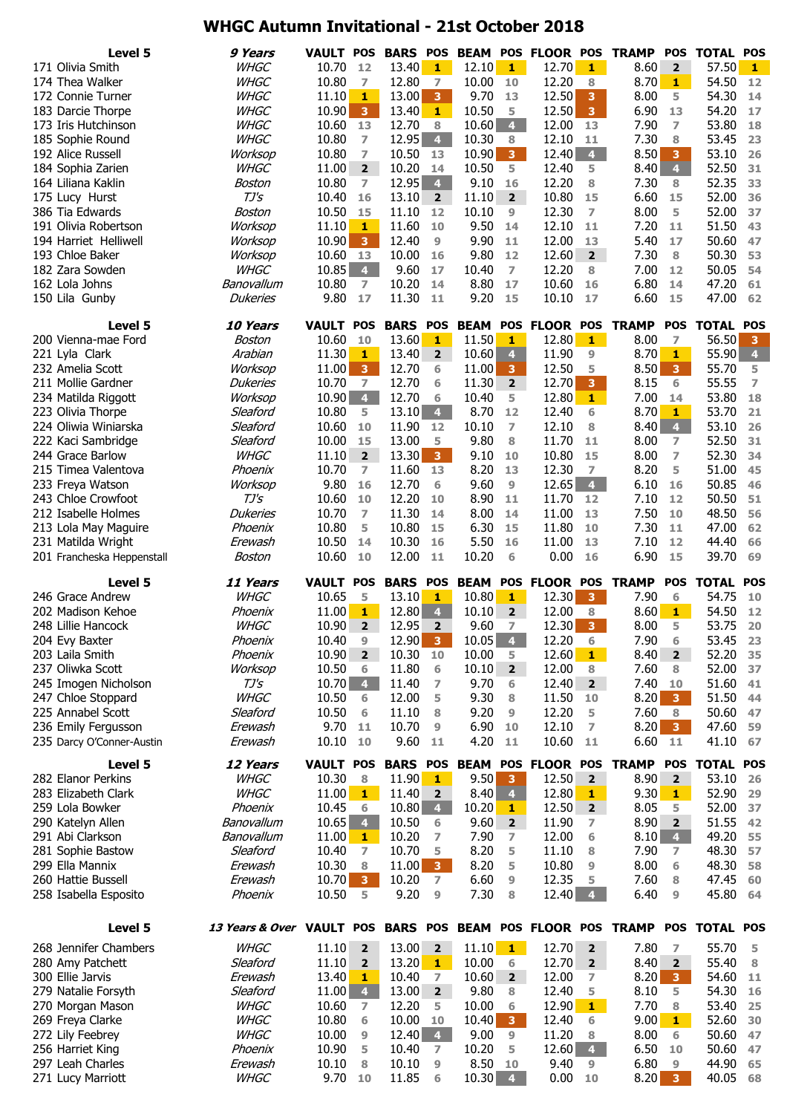# **WHGC Autumn Invitational - 21st October 2018**

| Level 5                                          | 9 Years                                                     | <b>VAULT POS</b> |                              | <b>BARS</b>     | <b>POS</b>                       |               |                         | <b>BEAM POS FLOOR POS</b> |                         | <b>TRAMP</b> | <b>POS</b>              | <b>TOTAL</b>   | <b>POS</b>     |
|--------------------------------------------------|-------------------------------------------------------------|------------------|------------------------------|-----------------|----------------------------------|---------------|-------------------------|---------------------------|-------------------------|--------------|-------------------------|----------------|----------------|
| 171 Olivia Smith                                 | <b>WHGC</b>                                                 | 10.70            | 12                           | 13.40           | $\mathbf{1}$                     | 12.10         | $\mathbf{1}$            | 12.70                     | $\mathbf{1}$            | 8.60         | $\overline{\mathbf{2}}$ | 57.50          | 1              |
| 174 Thea Walker                                  | <b>WHGC</b>                                                 | 10.80            | 7                            | 12.80           | 7                                | 10.00         | 10                      | 12.20                     | 8                       | 8.70         | $\mathbf{1}$            | 54.50          | 12             |
| 172 Connie Turner                                | <b>WHGC</b>                                                 | 11.10            | $\mathbf{1}$                 | 13.00           | $\overline{\mathbf{3}}$          | 9.70          | 13                      | 12.50                     | $\overline{\mathbf{3}}$ | 8.00         | 5                       | 54.30          | 14             |
| 183 Darcie Thorpe                                | <b>WHGC</b>                                                 | 10.90            | $\overline{\mathbf{3}}$      | 13.40           | $\mathbf{1}$                     | 10.50         | 5                       | 12.50                     | 3 <sup>7</sup>          | 6.90         | 13                      | 54.20          | 17             |
| 173 Iris Hutchinson                              | <b>WHGC</b>                                                 | 10.60 13         |                              | 12.70           | 8                                | 10.60         | $\overline{4}$          | 12.00                     | 13                      | 7.90         | $\overline{ }$          | 53.80          | 18             |
| 185 Sophie Round                                 | <b>WHGC</b>                                                 | 10.80            | 7                            | 12.95           | $\overline{\mathbf{4}}$          | 10.30         | 8                       | 12.10                     | 11                      | 7.30         | 8                       | 53.45          | 23             |
| 192 Alice Russell                                | Worksop                                                     | 10.80            | $\overline{ }$               | 10.50           | 13                               | 10.90         | 3 <sup>°</sup>          | 12.40                     | 4 <sup>1</sup>          | 8.50         | 3                       | 53.10          | 26             |
| 184 Sophia Zarien                                | <b>WHGC</b>                                                 | 11.00            | $2^{\circ}$                  | 10.20           | 14                               | 10.50         | 5                       | 12.40                     | 5                       | 8.40         | $\overline{\mathbf{4}}$ | 52.50          | 31             |
| 164 Liliana Kaklin                               | Boston                                                      | 10.80            | $\overline{ }$               | 12.95           | $\overline{4}$                   | 9.10          | 16                      | 12.20                     | 8                       | 7.30         | 8                       | 52.35          | 33             |
|                                                  | $TJ\mathcal{S}$                                             | 10.40            | 16                           | 13.10           | $\overline{2}$                   | 11.10         | $2^{\circ}$             | 10.80                     | 15                      | 6.60         | 15                      | 52.00          | 36             |
| 175 Lucy Hurst                                   |                                                             |                  |                              |                 |                                  |               | 9                       |                           |                         |              | 5                       |                |                |
| 386 Tia Edwards<br>191 Olivia Robertson          | Boston                                                      | 10.50            | 15                           | 11.10           | 12<br>10                         | 10.10<br>9.50 |                         | 12.30                     | 7                       | 8.00         | 11                      | 52.00          | 37             |
| 194 Harriet Helliwell                            | Worksop                                                     | 11.10            | 1<br>$\overline{\mathbf{3}}$ | 11.60           |                                  |               | 14                      | 12.10<br>12.00            | 11                      | 7.20<br>5.40 | 17                      | 51.50          | 43             |
|                                                  | Worksop                                                     | 10.90            |                              | 12.40           | 9                                | 9.90          | 11                      |                           | 13                      |              |                         | 50.60          | 47             |
| 193 Chloe Baker                                  | Worksop                                                     | 10.60            | <b>13</b>                    | 10.00           | 16                               | 9.80          | 12                      | 12.60                     | $\overline{\mathbf{2}}$ | 7.30         | 8                       | 50.30          | 53             |
| 182 Zara Sowden                                  | <b>WHGC</b>                                                 | 10.85            | $\overline{4}$               | 9.60            | 17                               | 10.40         | $\overline{ }$          | 12.20                     | 8                       | 7.00         | 12                      | 50.05          | 54             |
| 162 Lola Johns                                   | Banovallum                                                  | 10.80            | $\overline{ }$               | 10.20           | 14                               | 8.80          | 17                      | 10.60                     | 16                      | 6.80         | 14                      | 47.20          | 61             |
| 150 Lila Gunby                                   | <b>Dukeries</b>                                             | 9.80             | 17                           | 11.30           | 11                               | 9.20          | 15                      | 10.10                     | 17                      | 6.60         | 15                      | 47.00          | 62             |
| Level 5                                          | 10 Years                                                    | <b>VAULT POS</b> |                              | <b>BARS</b>     | <b>POS</b>                       | <b>BEAM</b>   | <b>POS</b>              | <b>FLOOR POS</b>          |                         | <b>TRAMP</b> | <b>POS</b>              | <b>TOTAL</b>   | <b>POS</b>     |
| 200 Vienna-mae Ford                              | Boston                                                      | 10.60            | 10                           | 13.60           | $\mathbf{1}$                     | 11.50         | 1                       | 12.80                     | $1 -$                   | 8.00         | $\overline{z}$          | 56.50          | 3              |
| 221 Lyla Clark                                   | Arabian                                                     | 11.30            | 1                            | 13.40           | $\overline{2}$                   | 10.60         | $\overline{\mathbf{4}}$ | 11.90                     | 9                       | 8.70         | 1                       | 55.90          | $\overline{4}$ |
| 232 Amelia Scott                                 | Worksop                                                     | 11.00            | $\mathbf{3}$                 | 12.70           | 6                                | 11.00         | 3 <sup>1</sup>          | 12.50                     | 5                       | 8.50         | $\overline{\mathbf{3}}$ | 55.70          | 5              |
| 211 Mollie Gardner                               | <b>Dukeries</b>                                             | 10.70            | $\overline{ }$               | 12.70           | 6                                | 11.30         | $\overline{2}$          | 12.70                     | 3 <sup>°</sup>          | 8.15         | 6                       | 55.55          | $\overline{z}$ |
| 234 Matilda Riggott                              | Worksop                                                     | 10.90            | $\overline{4}$               | 12.70           | 6                                | 10.40         | 5                       | 12.80                     | $\mathbf{1}$            | 7.00         | 14                      | 53.80          | 18             |
| 223 Olivia Thorpe                                | Sleaford                                                    | 10.80            | 5                            | 13.10           | $\overline{4}$                   | 8.70          | 12                      | 12.40                     | 6                       | 8.70         | $\mathbf{1}$            | 53.70          | 21             |
| 224 Oliwia Winiarska                             | Sleaford                                                    | 10.60            | 10                           | 11.90           | 12                               | 10.10         | $\overline{ }$          | 12.10                     | 8                       | 8.40         | $\overline{\mathbf{4}}$ | 53.10          | 26             |
| 222 Kaci Sambridge                               | Sleaford                                                    | 10.00            | 15                           | 13.00           | 5                                | 9.80          | 8                       | 11.70                     | 11                      | 8.00         | 7                       | 52.50          | 31             |
| 244 Grace Barlow                                 | <b>WHGC</b>                                                 | 11.10            | $\overline{2}$               | 13.30           | $\overline{\mathbf{3}}$          | 9.10          | 10                      | 10.80                     | 15                      | 8.00         | $\overline{ }$          | 52.30          | 34             |
| 215 Timea Valentova                              | Phoenix                                                     | 10.70            | $\overline{ }$               | 11.60           | 13                               | 8.20          | 13                      | 12.30                     | $\overline{7}$          | 8.20         | 5                       | 51.00          | 45             |
| 233 Freya Watson                                 | Worksop                                                     | 9.80             | 16                           | 12.70           | 6                                | 9.60          | 9                       | 12.65                     | $\overline{4}$          | 6.10         | 16                      | 50.85          | 46             |
| 243 Chloe Crowfoot                               | $TJ\mathsf{S}$                                              | 10.60            | 10                           | 12.20           | 10                               | 8.90          | 11                      | 11.70                     | 12                      | 7.10         | 12                      | 50.50          | 51             |
| 212 Isabelle Holmes                              | <b>Dukeries</b>                                             | 10.70            | $\overline{7}$               | 11.30           | 14                               | 8.00          | 14                      | 11.00                     | 13                      | 7.50         | 10                      | 48.50          | 56             |
|                                                  | Phoenix                                                     | 10.80            | 5                            | 10.80           | 15                               | 6.30          | 15                      | 11.80                     | 10                      | 7.30         | 11                      | 47.00          | 62             |
| 213 Lola May Maguire                             |                                                             | 10.50            |                              | 10.30           | 16                               |               |                         |                           |                         |              | 12                      | 44.40          |                |
| 231 Matilda Wright<br>201 Francheska Heppenstall | Erewash<br>Boston                                           | 10.60            | 14<br>10                     | 12.00           | 11                               | 5.50<br>10.20 | 16<br>6                 | 11.00<br>0.00             | 13<br>16                | 7.10<br>6.90 | 15                      | 39.70          | 66<br>69       |
|                                                  |                                                             |                  |                              |                 |                                  |               |                         |                           |                         |              |                         |                |                |
|                                                  |                                                             |                  |                              |                 |                                  |               |                         |                           |                         |              |                         |                |                |
| Level 5                                          | 11 Years                                                    | <b>VAULT</b>     | <b>POS</b>                   | <b>BARS</b>     | <b>POS</b>                       | <b>BEAM</b>   | <b>POS</b>              | <b>FLOOR POS</b>          |                         | <b>TRAMP</b> | <b>POS</b>              | <b>TOTAL</b>   | <b>POS</b>     |
| 246 Grace Andrew                                 | <b>WHGC</b>                                                 | 10.65            | 5                            | 13.10           | 1                                | 10.80         | 1                       | 12.30                     | 3 <sup>7</sup>          | 7.90         | 6                       | 54.75          | 10             |
| 202 Madison Kehoe                                | Phoenix                                                     | 11.00            | $\mathbf{1}$                 | 12.80           | $\overline{4}$                   | 10.10         | $\overline{2}$          | 12.00                     | 8                       | 8.60         | $\mathbf{1}$            | 54.50          | 12             |
| 248 Lillie Hancock                               | <b>WHGC</b>                                                 | 10.90            | $\overline{2}$               | 12.95           | $\overline{2}$                   | 9.60          | $\overline{7}$          | 12.30                     | 3 <sup>°</sup>          | 8.00         | 5                       | 53.75          | 20             |
| 204 Evy Baxter                                   | Phoenix                                                     | 10.40            | 9                            | 12.90           | $\overline{\mathbf{3}}$          | 10.05         | $\overline{4}$          | 12.20                     | 6                       | 7.90         | 6                       | 53.45          | 23             |
| 203 Laila Smith                                  | Phoenix                                                     | 10.90            | $\overline{2}$               | 10.30           | 10                               | 10.00         | 5                       | 12.60                     | $1 -$                   | 8.40         | $\overline{\mathbf{2}}$ | 52.20          | 35             |
| 237 Oliwka Scott                                 | Worksop                                                     | 10.50            | 6                            | 11.80           | 6                                | 10.10         | $2^{\circ}$             | 12.00                     | 8                       | 7.60         | 8                       | 52.00          | 37             |
| 245 Imogen Nicholson                             | TJ's                                                        | $10.70 - 4$      |                              | 11.40           | 7                                | 9.70          | 6                       | 12.40                     | $2^{\circ}$             | 7.40         | 10                      | 51.60          | 41             |
| 247 Chloe Stoppard                               | <b>WHGC</b>                                                 | 10.50            | 6                            | 12.00           | 5                                | 9.30          | 8                       | 11.50                     | 10                      | 8.20         | 3 <sup>2</sup>          | 51.50          | 44             |
| 225 Annabel Scott                                | Sleaford                                                    | 10.50            | 6                            | 11.10           | 8                                | 9.20          | 9                       | 12.20                     | 5                       | 7.60         | 8                       | 50.60          | 47             |
|                                                  | Erewash                                                     | 9.70             | 11                           |                 | 9                                |               | 10                      | 12.10                     | 7                       |              | 3 <sup>7</sup>          |                | 59             |
| 236 Emily Fergusson<br>235 Darcy O'Conner-Austin | Erewash                                                     | 10.10            | 10                           | 10.70<br>9.60   | 11                               | 6.90<br>4.20  | 11                      | 10.60                     | 11                      | 8.20<br>6.60 | 11                      | 47.60<br>41.10 | 67             |
|                                                  |                                                             |                  |                              |                 |                                  |               |                         |                           |                         |              |                         |                |                |
| Level 5                                          | 12 Years                                                    | <b>VAULT POS</b> |                              | <b>BARS POS</b> |                                  |               |                         | <b>BEAM POS FLOOR POS</b> |                         | <b>TRAMP</b> | <b>POS</b>              | <b>TOTAL</b>   | <b>POS</b>     |
| 282 Elanor Perkins                               | <b>WHGC</b>                                                 | 10.30            | 8                            | 11.90           | $\mathbf{1}$                     | 9.50          | $\overline{\mathbf{3}}$ | 12.50                     | $\overline{2}$          | 8.90         | $\overline{2}$          | 53.10          | 26             |
| 283 Elizabeth Clark                              | <b>WHGC</b>                                                 | 11.00            | $\mathbf{1}$                 | 11.40           | $\overline{2}$                   | 8.40          | $\overline{4}$          | 12.80                     | $\mathbf{1}$            | 9.30         | $\mathbf{1}$            | 52.90          | 29             |
| 259 Lola Bowker                                  | Phoenix                                                     | 10.45            | 6                            | 10.80           | $\overline{4}$                   | 10.20         | 1.                      | 12.50                     | $\overline{2}$          | 8.05         | 5                       | 52.00          | 37             |
| 290 Katelyn Allen                                | Banovallum                                                  | $10.65$ 4        |                              | 10.50           | 6                                | 9.60          | $\overline{2}$          | 11.90                     | 7                       | 8.90         | $\overline{\mathbf{2}}$ | 51.55          | 42             |
| 291 Abi Clarkson                                 | Banovallum                                                  | 11.00            | 1                            | 10.20           | 7                                | 7.90          | 7                       | 12.00                     | 6                       | 8.10         | $\overline{4}$          | 49.20          | 55             |
| 281 Sophie Bastow                                | Sleaford                                                    | 10.40            | $\overline{ }$               | 10.70           | 5                                | 8.20          | 5                       | 11.10                     | 8                       | 7.90         | $\overline{ }$          | 48.30          | 57             |
| 299 Ella Mannix                                  | Erewash                                                     | 10.30            | $\bf8$                       | 11.00           | 3 <sup>°</sup>                   | 8.20          | 5                       | 10.80                     | 9                       | 8.00         | 6                       | 48.30          | 58             |
| 260 Hattie Bussell                               | Erewash<br>Phoenix                                          | 10.70<br>10.50   | 3 <sup>2</sup><br>5          | 10.20<br>9.20   | $\overline{7}$<br>9              | 6.60<br>7.30  | $\overline{9}$<br>8     | 12.35<br>12.40            | 5<br>$\overline{4}$     | 7.60<br>6.40 | 8<br>9                  | 47.45<br>45.80 | 60<br>64       |
| 258 Isabella Esposito                            |                                                             |                  |                              |                 |                                  |               |                         |                           |                         |              |                         |                |                |
| Level 5                                          | 13 Years & Over VAULT POS BARS POS BEAM POS FLOOR POS TRAMP |                  |                              |                 |                                  |               |                         |                           |                         |              |                         | POS TOTAL POS  |                |
| 268 Jennifer Chambers                            | <b>WHGC</b>                                                 | 11.10            | $\overline{2}$               | 13.00           | $\overline{\mathbf{2}}$          |               | $1 -$                   | 12.70                     | $\overline{2}$          | 7.80         | 7                       | 55.70          | 5              |
|                                                  |                                                             |                  | $\overline{2}$               |                 |                                  | 11.10         |                         |                           |                         |              | $\overline{2}$          |                | 8              |
| 280 Amy Patchett                                 | Sleaford                                                    | 11.10            | $\mathbf{1}$                 | 13.20           | $\mathbf{1}$                     | 10.00         | 6                       | 12.70                     | $2^{\circ}$<br>7        | 8.40         |                         | 55.40          |                |
| 300 Ellie Jarvis                                 | Erewash                                                     | 13.40            |                              | 10.40           | 7                                | 10.60         | $\overline{2}$<br>8     | 12.00                     | 5                       | 8.20         | 3 <sup>7</sup><br>5     | 54.60          | 11             |
| 279 Natalie Forsyth                              | Sleaford                                                    | 11.00            | $\overline{4}$<br>7          | 13.00           | $\overline{2}$<br>5              | 9.80          |                         | 12.40                     |                         | 8.10         |                         | 54.30          | 16             |
| 270 Morgan Mason                                 | <b>WHGC</b>                                                 | 10.60            |                              | 12.20           |                                  | 10.00         | 6                       | 12.90                     | $1 -$                   | 7.70         | 8                       | 53.40          | 25             |
| 269 Freya Clarke                                 | <b>WHGC</b>                                                 | 10.80            | 6                            | 10.00           | 10                               | 10.40         | 3 <sup>°</sup>          | 12.40                     | 6                       | 9.00         | $1 -$                   | 52.60          | 30             |
| 272 Lily Feebrey                                 | <b>WHGC</b>                                                 | 10.00            | 9<br>5                       | 12.40           | $\overline{4}$<br>$\overline{7}$ | 9.00          | 9                       | 11.20                     | 8                       | 8.00         | 6                       | 50.60          | 47             |
| 256 Harriet King<br>297 Leah Charles             | Phoenix<br>Erewash                                          | 10.90<br>10.10   | 8                            | 10.40<br>10.10  | 9                                | 10.20<br>8.50 | 5<br>10                 | 12.60<br>9.40             | $\overline{4}$<br>9     | 6.50<br>6.80 | 10<br>9                 | 50.60<br>44.90 | 47<br>65       |